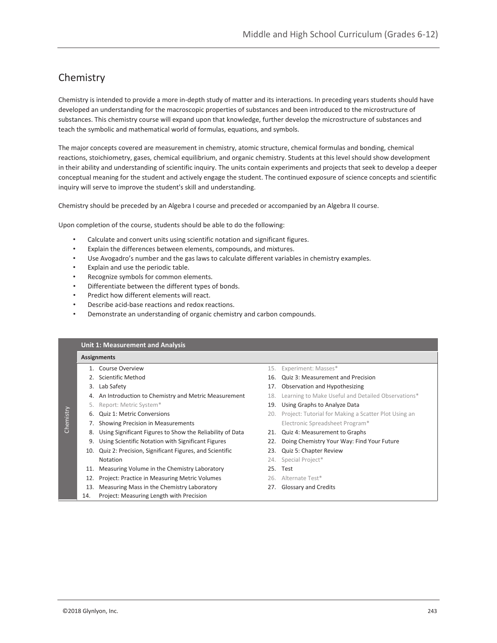# **Chemistry**

Chemistry is intended to provide a more in-depth study of matter and its interactions. In preceding years students should have developed an understanding for the macroscopic properties of substances and been introduced to the microstructure of substances. This chemistry course will expand upon that knowledge, further develop the microstructure of substances and teach the symbolic and mathematical world of formulas, equations, and symbols.

The major concepts covered are measurement in chemistry, atomic structure, chemical formulas and bonding, chemical reactions, stoichiometry, gases, chemical equilibrium, and organic chemistry. Students at this level should show development in their ability and understanding of scientific inquiry. The units contain experiments and projects that seek to develop a deeper conceptual meaning for the student and actively engage the student. The continued exposure of science concepts and scientific inquiry will serve to improve the student's skill and understanding.

Chemistry should be preceded by an Algebra I course and preceded or accompanied by an Algebra II course.

Upon completion of the course, students should be able to do the following:

- Calculate and convert units using scientific notation and significant figures.
- Explain the differences between elements, compounds, and mixtures.
- Use Avogadro's number and the gas laws to calculate different variables in chemistry examples.
- Explain and use the periodic table.
- Recognize symbols for common elements.
- Differentiate between the different types of bonds.
- Predict how different elements will react.

14. Project: Measuring Length with Precision

- Describe acid-base reactions and redox reactions.
- Demonstrate an understanding of organic chemistry and carbon compounds.

|           | <b>Unit 1: Measurement and Analysis</b> |                                                              |     |                                                          |  |  |
|-----------|-----------------------------------------|--------------------------------------------------------------|-----|----------------------------------------------------------|--|--|
|           | <b>Assignments</b>                      |                                                              |     |                                                          |  |  |
|           |                                         | 1. Course Overview                                           |     | 15. Experiment: Masses*                                  |  |  |
|           |                                         | 2. Scientific Method                                         |     | 16. Quiz 3: Measurement and Precision                    |  |  |
|           | 3.                                      | Lab Safety                                                   |     | 17. Observation and Hypothesizing                        |  |  |
|           |                                         | 4. An Introduction to Chemistry and Metric Measurement       | 18. | Learning to Make Useful and Detailed Observations*       |  |  |
|           |                                         | 5. Report: Metric System*                                    |     | 19. Using Graphs to Analyze Data                         |  |  |
| Chemistry | 6.                                      | <b>Quiz 1: Metric Conversions</b>                            |     | 20. Project: Tutorial for Making a Scatter Plot Using an |  |  |
|           | 7.                                      | Showing Precision in Measurements                            |     | Electronic Spreadsheet Program*                          |  |  |
|           |                                         | 8. Using Significant Figures to Show the Reliability of Data |     | 21. Quiz 4: Measurement to Graphs                        |  |  |
|           | 9.                                      | Using Scientific Notation with Significant Figures           |     | 22. Doing Chemistry Your Way: Find Your Future           |  |  |
|           | 10.                                     | Quiz 2: Precision, Significant Figures, and Scientific       |     | 23. Quiz 5: Chapter Review                               |  |  |
|           |                                         | <b>Notation</b>                                              |     | 24. Special Project*                                     |  |  |
|           | 11.                                     | Measuring Volume in the Chemistry Laboratory                 |     | 25. Test                                                 |  |  |
|           | 12.                                     | Project: Practice in Measuring Metric Volumes                |     | 26. Alternate Test*                                      |  |  |
|           |                                         | 13. Measuring Mass in the Chemistry Laboratory               |     | 27. Glossary and Credits                                 |  |  |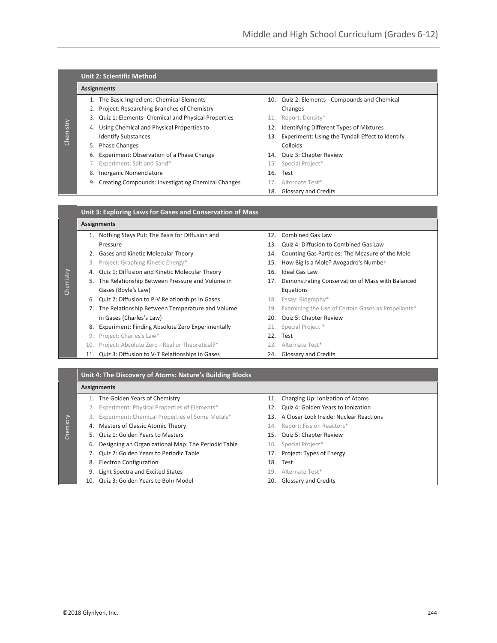## **Unit 2: Scientific Method**

### **Assignments**

- 
- 2. Project: Researching Branches of Chemistry Changes
- 3. Quiz 1: Elements- Chemical and Physical Properties 11. Report: Density\*
- 4. Using Chemical and Physical Properties to 12. Identifying Different Types of Mixtures
- 

### 5. Phase Changes **Colloids** Colloids

- 6. Experiment: Observation of a Phase Change 14. Quiz 3: Chapter Review
- 7. Experiment: Salt and Sand\* 15. Special Project\*
- 8. Inorganic Nomenclature 16. Test
- 9. Creating Compounds: Investigating Chemical Changes 17. Alternate Test\*

**Unit 3: Exploring Laws for Gases and Conservation of Mass**

- 1. The Basic Ingredient: Chemical Elements 10. Quiz 2: Elements Compounds and Chemical
	-
	-
	- Identify Substances 13. Experiment: Using the Tyndall Effect to Identify
		-
		-
		-
		-
		- 18. Glossary and Credits

| enit of Exploring East for Gases and Conservation of Mass |                    |                                                     |     |                           |  |  |
|-----------------------------------------------------------|--------------------|-----------------------------------------------------|-----|---------------------------|--|--|
|                                                           | <b>Assignments</b> |                                                     |     |                           |  |  |
|                                                           |                    | 1. Nothing Stays Put: The Basis for Diffusion and   |     | 12. Combined Gas Law      |  |  |
|                                                           |                    | Pressure                                            | 13. | Quiz 4: Diffusion to C    |  |  |
|                                                           |                    | 2. Gases and Kinetic Molecular Theory               |     | 14. Counting Gas Particle |  |  |
|                                                           |                    | 3. Project: Graphing Kinetic Energy*                |     | 15. How Big Is a Mole? A  |  |  |
|                                                           |                    | 4. Quiz 1: Diffusion and Kinetic Molecular Theory   | 16. | <b>Ideal Gas Law</b>      |  |  |
|                                                           |                    | 5. The Relationship Between Pressure and Volume in  |     | 17. Demonstrating Conse   |  |  |
| <b>Disclinairy</b>                                        |                    | Gases (Boyle's Law)                                 |     | Equations                 |  |  |
|                                                           |                    | 6. Quiz 2: Diffusion to P-V Relationships in Gases  |     | 18. Essay: Biography*     |  |  |
|                                                           |                    | 7. The Relationship Between Temperature and Volume  |     | 19. Examining the Use of  |  |  |
|                                                           |                    | in Gases (Charles's Law)                            | 20. | Quiz 5: Chapter Revi      |  |  |
|                                                           | 8.                 | Experiment: Finding Absolute Zero Experimentally    |     | 21. Special Project *     |  |  |
|                                                           | 9.                 | Project: Charles's Law*                             |     | 22. Test                  |  |  |
|                                                           | 10.                | Project: Absolute Zero - Real or Theoretical?*      |     | 23. Alternate Test*       |  |  |
|                                                           |                    | 11. Quiz 3: Diffusion to V-T Relationships in Gases |     | 24. Glossary and Credits  |  |  |

- nbined Gas Law
- z 4: Diffusion to Combined Gas Law
- Inting Gas Particles: The Measure of the Mole
- w Big Is a Mole? Avogadro's Number
- al Gas Law
- monstrating Conservation of Mass with Balanced
- ay: Biography\*
- mining the Use of Certain Gases as Propellants\*
- iz 5: Chapter Review
- ecial Project \*
- ernate Test\*
- 

### **Unit 4: The Discovery of Atoms: Nature's Building Blocks**

#### **Assignments**

|    | 1. The Golden Years of Chemistry                       |     | 11. Charging Up: Ionization of Atoms        |
|----|--------------------------------------------------------|-----|---------------------------------------------|
|    | 2. Experiment: Physical Properties of Elements*        |     | 12. Quiz 4: Golden Years to Ionization      |
|    | 3. Experiment: Chemical Properties of Some Metals*     |     | 13. A Closer Look Inside: Nuclear Reactions |
|    | 4. Masters of Classic Atomic Theory                    |     | 14. Report: Fission Reactors*               |
|    | 5. Quiz 1: Golden Years to Masters                     |     | 15. Quiz 5: Chapter Review                  |
|    | 6. Designing an Organizational Map: The Periodic Table |     | 16. Special Project*                        |
|    | 7. Quiz 2: Golden Years to Periodic Table              |     | 17. Project: Types of Energy                |
|    | 8. Electron Configuration                              | 18. | Test                                        |
| 9. | Light Spectra and Excited States                       |     | 19. Alternate Test*                         |

10. Quiz 3: Golden Years to Bohr Model 20. Glossary and Credits

Chemistry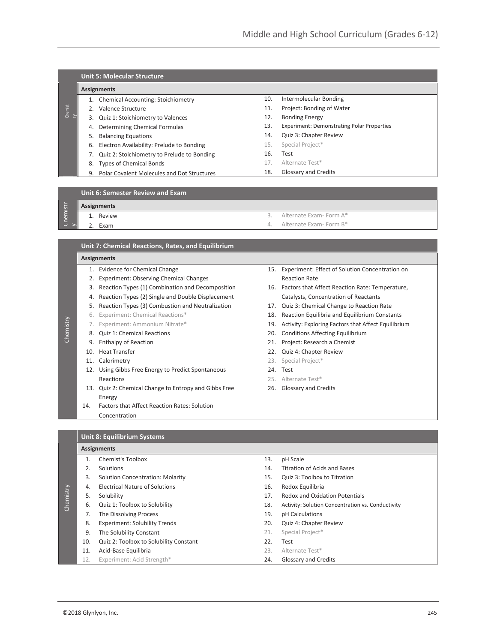|               |    | <b>Unit 5: Molecular Structure</b>                 |     |                                                   |  |  |  |
|---------------|----|----------------------------------------------------|-----|---------------------------------------------------|--|--|--|
|               |    | <b>Assignments</b>                                 |     |                                                   |  |  |  |
|               |    | <b>Chemical Accounting: Stoichiometry</b>          | 10. | Intermolecular Bonding                            |  |  |  |
| Chemist<br>ry |    | Valence Structure                                  | 11. | Project: Bonding of Water                         |  |  |  |
|               | 3. | Quiz 1: Stoichiometry to Valences                  | 12. | <b>Bonding Energy</b>                             |  |  |  |
|               |    | Determining Chemical Formulas                      | 13. | <b>Experiment: Demonstrating Polar Properties</b> |  |  |  |
|               | 5. | <b>Balancing Equations</b>                         | 14. | Quiz 3: Chapter Review                            |  |  |  |
|               | 6. | Electron Availability: Prelude to Bonding          | 15. | Special Project*                                  |  |  |  |
|               |    | Quiz 2: Stoichiometry to Prelude to Bonding        | 16. | Test                                              |  |  |  |
|               | 8. | <b>Types of Chemical Bonds</b>                     | 17. | Alternate Test*                                   |  |  |  |
|               | 9. | <b>Polar Covalent Molecules and Dot Structures</b> | 18. | Glossary and Credits                              |  |  |  |
|               |    |                                                    |     |                                                   |  |  |  |

#### **Unit 6: Semester Review and Exam**

| <b>Assignments</b> |           |  |                           |  |
|--------------------|-----------|--|---------------------------|--|
|                    | 1. Review |  | 3. Alternate Exam-Form A* |  |
|                    | 2. Exam   |  | 4. Alternate Exam-Form B* |  |

### **Unit 7: Chemical Reactions, Rates, and Equilibrium**

#### **Assignments**

Chemistr  $\geq$ 

Chemistry

- 
- 2. Experiment: Observing Chemical Changes **Reaction Rate** Reaction Rate
- 3. Reaction Types (1) Combination and Decomposition 16. Factors that Affect Reaction Rate: Temperature,
- 4. Reaction Types (2) Single and Double Displacement Catalysts, Concentration of Reactants
- 5. Reaction Types (3) Combustion and Neutralization 17. Quiz 3: Chemical Change to Reaction Rate
- 
- 
- 
- 
- 
- 11. Calorimetry 23. Special Project\*
- 12. Using Gibbs Free Energy to Predict Spontaneous 24. Test Reactions 25. Alternate Test\*
- 13. Quiz 2: Chemical Change to Entropy and Gibbs Free 26. Glossary and Credits Energy
- 14. Factors that Affect Reaction Rates: Solution Concentration
- 1. Evidence for Chemical Change 15. Experiment: Effect of Solution Concentration on
	-
	-
- 6. Experiment: Chemical Reactions\* 18. Reaction Equilibria and Equilibrium Constants
- 7. Experiment: Ammonium Nitrate\* 19. Activity: Exploring Factors that Affect Equilibrium
- 8. Quiz 1: Chemical Reactions 20. Conditions Affecting Equilibrium
- 9. Enthalpy of Reaction 21. Project: Research a Chemist
- 10. Heat Transfer 22. Quiz 4: Chapter Review
	-
	-
	-
	-

## **Unit 8: Equilibrium Systems**

|           |     | <b>Assignments</b>                      |     |                                                   |  |
|-----------|-----|-----------------------------------------|-----|---------------------------------------------------|--|
|           |     | Chemist's Toolbox                       | 13. | pH Scale                                          |  |
|           | 2.  | Solutions                               | 14. | <b>Titration of Acids and Bases</b>               |  |
|           | 3.  | <b>Solution Concentration: Molarity</b> | 15. | Quiz 3: Toolbox to Titration                      |  |
|           | 4.  | Electrical Nature of Solutions          | 16. | Redox Equilibria                                  |  |
| Chemistry | 5.  | Solubility                              | 17. | <b>Redox and Oxidation Potentials</b>             |  |
|           | 6.  | Quiz 1: Toolbox to Solubility           | 18. | Activity: Solution Concentration vs. Conductivity |  |
|           | 7.  | The Dissolving Process                  | 19. | pH Calculations                                   |  |
|           | 8.  | <b>Experiment: Solubility Trends</b>    | 20. | Quiz 4: Chapter Review                            |  |
|           | 9.  | The Solubility Constant                 | 21. | Special Project*                                  |  |
|           | 10. | Quiz 2: Toolbox to Solubility Constant  | 22. | Test                                              |  |
|           | 11. | Acid-Base Equilibria                    | 23. | Alternate Test*                                   |  |
|           | 12. | Experiment: Acid Strength*              | 24. | Glossary and Credits                              |  |
|           |     |                                         |     |                                                   |  |